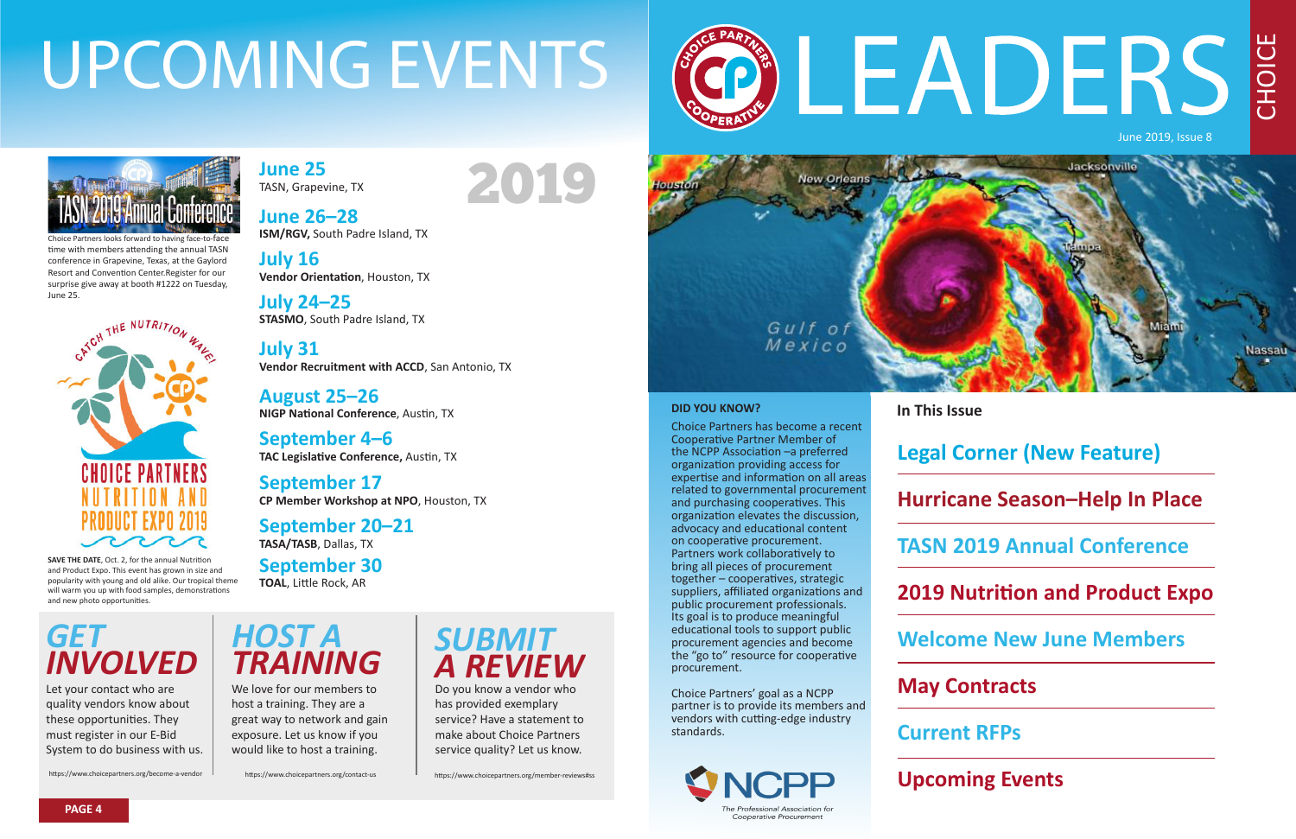CHOICE

# LEADERS June 2019, Issue 8

#### **DID YOU KNOW?**

Choice Partners has become a recent Cooperative Partner Member of the NCPP Association –a preferred organization providing access for expertise and information on all areas related to governmental procurement and purchasing cooperatives. This organization elevates the discussion, advocacy and educational content on cooperative procurement. Partners work collaboratively to bring all pieces of procurement together – cooperatives, strategic suppliers, affiliated organizations and public procurement professionals. Its goal is to produce meaningful educational tools to support public procurement agencies and become the "go to" resource for cooperative procurement.

Choice Partners' goal as a NCPP partner is to provide its members and vendors with cutting-edge industry standards.



# **In This Issue**

#### **Legal Corner (New Feature)**

#### **Hurricane Season–Help In Place**

#### **TASN 2019 Annual Conference**

#### **2019 Nutrition and Product Expo**

#### **Welcome New June Members**

#### **May Contracts**

#### **Current RFPs**

#### **Upcoming Events**

**June 25** TASN, Grapevine, TX

**June 26–28 ISM/RGV,** South Padre Island, TX

**July 16 Vendor Orientation**, Houston, TX

**July 24–25 STASMO**, South Padre Island, TX

**July 31 Vendor Recruitment with ACCD**, San Antonio, TX

**August 25–26 NIGP National Conference**, Austin, TX

**September 4–6 TAC Legislative Conference,** Austin, TX

**September 17 CP Member Workshop at NPO**, Houston, TX

#### **September 20–21**

**TASA/TASB**, Dallas, TX

#### **September 30**

**TOAL**, Little Rock, AR

# UPCOMING EVENTS



# *GET INVOLVED*



# *A REVIEW*

Let your contact who are quality vendors know about these opportunities. They must register in our E-Bid System to do business with us.

We love for our members to host a training. They are a great way to network and gain exposure. Let us know if you would like to host a training.

Do you know a vendor who has provided exemplary service? Have a statement to make about Choice Partners service quality? Let us know.





**PAGE 4**

**SAVE THE DATE**, Oct. 2, for the annual Nutrition and Product Expo. This event has grown in size and popularity with young and old alike. Our tropical theme will warm you up with food samples, demonstrations and new photo opportunities.

Choice Partners looks forward to having face-to-face time with members attending the annual TASN conference in Grapevine, Texas, at the Gaylord Resort and Convention Center.Register for our surprise give away at booth #1222 on Tuesday, June 25.



https://www.choicepartners.org/become-a-vendor https://www.choicepartners.org/contact-us https://www.choicepartners.org/member-reviews#ss

2019